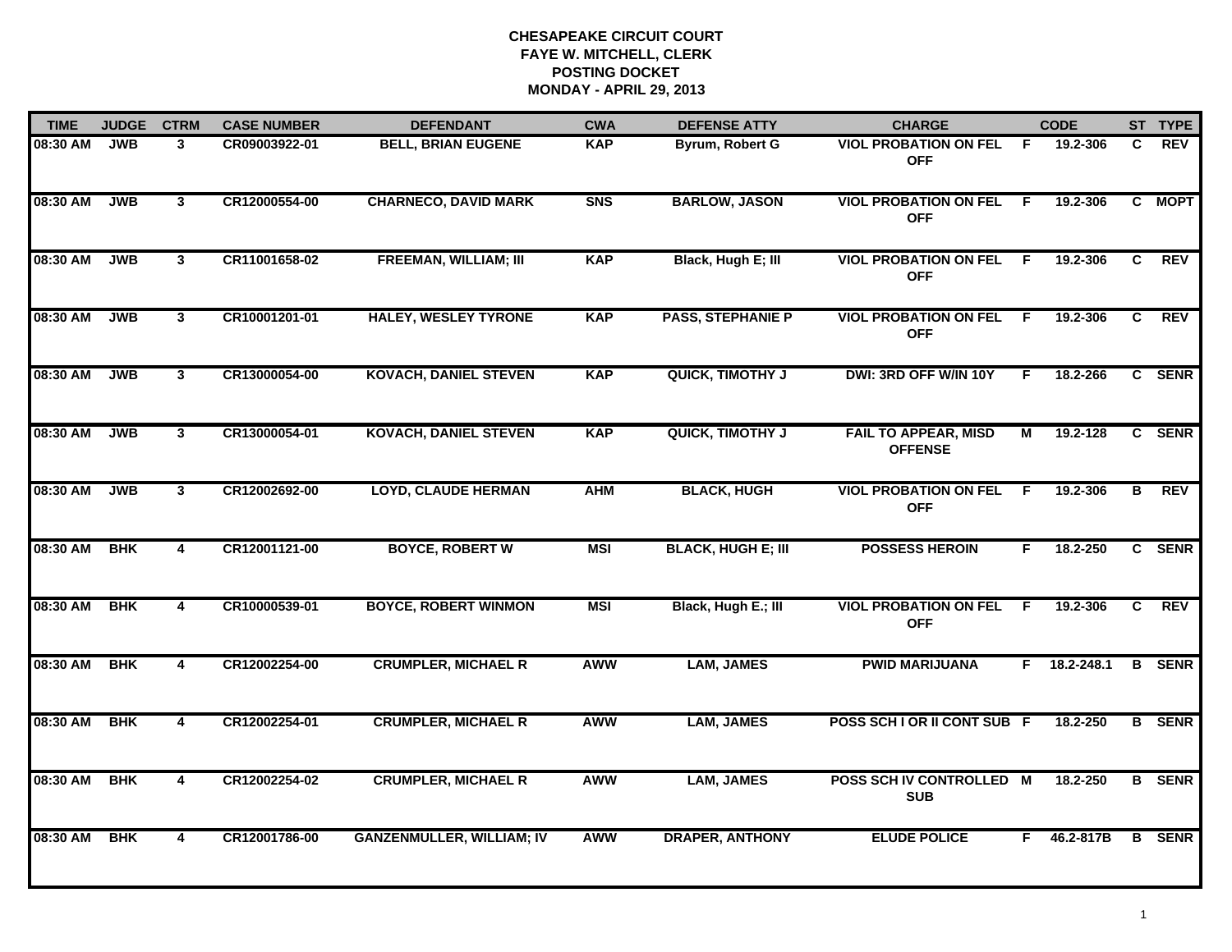| <b>TIME</b> | <b>JUDGE</b> | <b>CTRM</b>             | <b>CASE NUMBER</b> | <b>DEFENDANT</b>                 | <b>CWA</b> | <b>DEFENSE ATTY</b>       | <b>CHARGE</b>                                 |                | <b>CODE</b> |                         | ST TYPE       |
|-------------|--------------|-------------------------|--------------------|----------------------------------|------------|---------------------------|-----------------------------------------------|----------------|-------------|-------------------------|---------------|
| 08:30 AM    | <b>JWB</b>   | 3                       | CR09003922-01      | <b>BELL, BRIAN EUGENE</b>        | <b>KAP</b> | Byrum, Robert G           | <b>VIOL PROBATION ON FEL</b><br><b>OFF</b>    | -F.            | 19.2-306    | C.                      | <b>REV</b>    |
| 08:30 AM    | <b>JWB</b>   | $\mathbf{3}$            | CR12000554-00      | <b>CHARNECO, DAVID MARK</b>      | <b>SNS</b> | <b>BARLOW, JASON</b>      | <b>VIOL PROBATION ON FEL</b><br><b>OFF</b>    | F.             | 19.2-306    | C                       | <b>MOPT</b>   |
| 08:30 AM    | <b>JWB</b>   | $\mathbf{3}$            | CR11001658-02      | <b>FREEMAN, WILLIAM; III</b>     | <b>KAP</b> | Black, Hugh E; III        | <b>VIOL PROBATION ON FEL</b><br><b>OFF</b>    | -F             | 19.2-306    | C                       | <b>REV</b>    |
| 08:30 AM    | <b>JWB</b>   | 3                       | CR10001201-01      | <b>HALEY, WESLEY TYRONE</b>      | <b>KAP</b> | <b>PASS, STEPHANIE P</b>  | <b>VIOL PROBATION ON FEL</b><br><b>OFF</b>    | - F            | 19.2-306    | C                       | <b>REV</b>    |
| 08:30 AM    | <b>JWB</b>   | $\mathbf{3}$            | CR13000054-00      | <b>KOVACH, DANIEL STEVEN</b>     | <b>KAP</b> | <b>QUICK, TIMOTHY J</b>   | DWI: 3RD OFF W/IN 10Y                         | F.             | 18.2-266    |                         | C SENR        |
| 08:30 AM    | <b>JWB</b>   | 3 <sup>1</sup>          | CR13000054-01      | <b>KOVACH, DANIEL STEVEN</b>     | <b>KAP</b> | <b>QUICK, TIMOTHY J</b>   | <b>FAIL TO APPEAR, MISD</b><br><b>OFFENSE</b> | М              | 19.2-128    | C.                      | <b>SENR</b>   |
| 08:30 AM    | <b>JWB</b>   | $\overline{3}$          | CR12002692-00      | <b>LOYD, CLAUDE HERMAN</b>       | <b>AHM</b> | <b>BLACK, HUGH</b>        | <b>VIOL PROBATION ON FEL</b><br><b>OFF</b>    | $\overline{F}$ | 19.2-306    | $\overline{\mathbf{B}}$ | REV           |
| 08:30 AM    | <b>BHK</b>   | 4                       | CR12001121-00      | <b>BOYCE, ROBERT W</b>           | <b>MSI</b> | <b>BLACK, HUGH E; III</b> | <b>POSSESS HEROIN</b>                         | F.             | 18.2-250    |                         | C SENR        |
| 08:30 AM    | <b>BHK</b>   | 4                       | CR10000539-01      | <b>BOYCE, ROBERT WINMON</b>      | <b>MSI</b> | Black, Hugh E.; III       | <b>VIOL PROBATION ON FEL</b><br><b>OFF</b>    | -F             | 19.2-306    | C                       | <b>REV</b>    |
| 08:30 AM    | <b>BHK</b>   | 4                       | CR12002254-00      | <b>CRUMPLER, MICHAEL R</b>       | <b>AWW</b> | <b>LAM, JAMES</b>         | <b>PWID MARIJUANA</b>                         | F.             | 18.2-248.1  | B                       | <b>SENR</b>   |
| 08:30 AM    | <b>BHK</b>   | $\overline{\mathbf{4}}$ | CR12002254-01      | <b>CRUMPLER, MICHAEL R</b>       | <b>AWW</b> | <b>LAM, JAMES</b>         | POSS SCH I OR II CONT SUB F                   |                | 18.2-250    |                         | <b>B</b> SENR |
| 08:30 AM    | <b>BHK</b>   | 4                       | CR12002254-02      | <b>CRUMPLER, MICHAEL R</b>       | <b>AWW</b> | <b>LAM, JAMES</b>         | POSS SCH IV CONTROLLED M<br><b>SUB</b>        |                | 18.2-250    |                         | <b>B</b> SENR |
| 08:30 AM    | <b>BHK</b>   | 4                       | CR12001786-00      | <b>GANZENMULLER, WILLIAM; IV</b> | <b>AWW</b> | <b>DRAPER, ANTHONY</b>    | <b>ELUDE POLICE</b>                           | F.             | 46.2-817B   |                         | <b>B</b> SENR |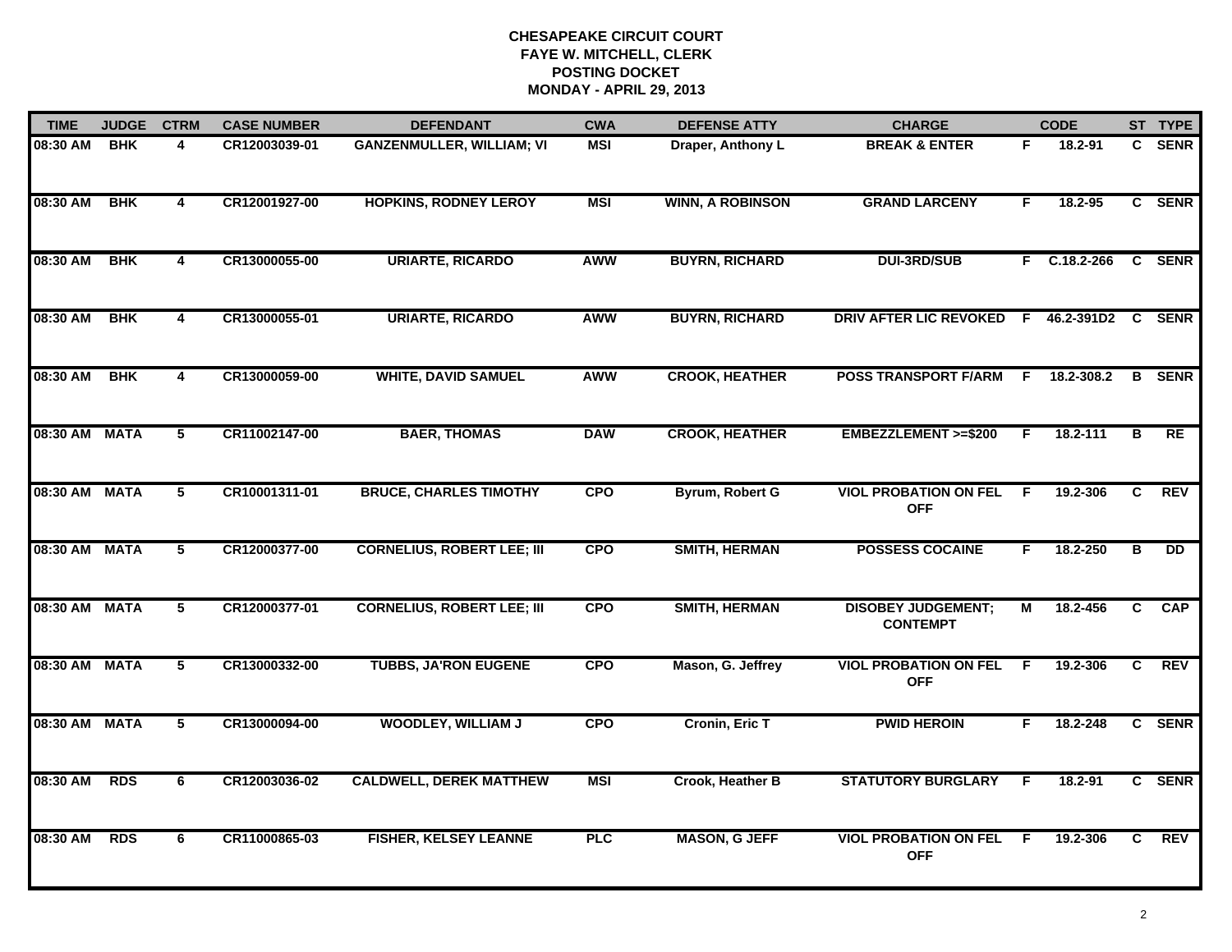| <b>TIME</b>   | <b>JUDGE</b> | <b>CTRM</b>    | <b>CASE NUMBER</b> | <b>DEFENDANT</b>                  | <b>CWA</b> | <b>DEFENSE ATTY</b>     | <b>CHARGE</b>                                |    | <b>CODE</b>    |    | ST TYPE         |
|---------------|--------------|----------------|--------------------|-----------------------------------|------------|-------------------------|----------------------------------------------|----|----------------|----|-----------------|
| 08:30 AM      | <b>BHK</b>   | 4              | CR12003039-01      | <b>GANZENMULLER, WILLIAM; VI</b>  | <b>MSI</b> | Draper, Anthony L       | <b>BREAK &amp; ENTER</b>                     | F. | 18.2-91        |    | C SENR          |
| 08:30 AM      | <b>BHK</b>   | 4              | CR12001927-00      | <b>HOPKINS, RODNEY LEROY</b>      | <b>MSI</b> | <b>WINN, A ROBINSON</b> | <b>GRAND LARCENY</b>                         | F  | 18.2-95        |    | C SENR          |
| 08:30 AM      | <b>BHK</b>   | $\overline{4}$ | CR13000055-00      | <b>URIARTE, RICARDO</b>           | <b>AWW</b> | <b>BUYRN, RICHARD</b>   | <b>DUI-3RD/SUB</b>                           |    | $F$ C.18.2-266 |    | C SENR          |
| 08:30 AM      | <b>BHK</b>   | 4              | CR13000055-01      | <b>URIARTE, RICARDO</b>           | AWW        | <b>BUYRN, RICHARD</b>   | DRIV AFTER LIC REVOKED F 46.2-391D2 C SENR   |    |                |    |                 |
| 08:30 AM      | <b>BHK</b>   | 4              | CR13000059-00      | <b>WHITE, DAVID SAMUEL</b>        | <b>AWW</b> | <b>CROOK, HEATHER</b>   | <b>POSS TRANSPORT F/ARM</b>                  | F. | 18.2-308.2     | B  | <b>SENR</b>     |
| 08:30 AM MATA |              | $\overline{5}$ | CR11002147-00      | <b>BAER, THOMAS</b>               | <b>DAW</b> | <b>CROOK, HEATHER</b>   | EMBEZZLEMENT >=\$200                         | F. | 18.2-111       | в  | RE              |
| 08:30 AM      | <b>MATA</b>  | $\overline{5}$ | CR10001311-01      | <b>BRUCE, CHARLES TIMOTHY</b>     | <b>CPO</b> | Byrum, Robert G         | <b>VIOL PROBATION ON FEL</b><br><b>OFF</b>   | F. | 19.2-306       | C  | REV             |
| 08:30 AM MATA |              | $\overline{5}$ | CR12000377-00      | <b>CORNELIUS, ROBERT LEE; III</b> | <b>CPO</b> | <b>SMITH, HERMAN</b>    | <b>POSSESS COCAINE</b>                       | F. | 18.2-250       | в  | $\overline{DD}$ |
| 08:30 AM      | <b>MATA</b>  | 5              | CR12000377-01      | <b>CORNELIUS, ROBERT LEE; III</b> | <b>CPO</b> | <b>SMITH, HERMAN</b>    | <b>DISOBEY JUDGEMENT;</b><br><b>CONTEMPT</b> | м  | 18.2-456       | C  | <b>CAP</b>      |
| 08:30 AM      | <b>MATA</b>  | 5              | CR13000332-00      | <b>TUBBS, JA'RON EUGENE</b>       | <b>CPO</b> | Mason, G. Jeffrey       | <b>VIOL PROBATION ON FEL</b><br><b>OFF</b>   | F  | 19.2-306       | C  | <b>REV</b>      |
| 08:30 AM      | <b>MATA</b>  | 5              | CR13000094-00      | <b>WOODLEY, WILLIAM J</b>         | <b>CPO</b> | <b>Cronin, Eric T</b>   | <b>PWID HEROIN</b>                           | F. | 18.2-248       |    | C SENR          |
| 08:30 AM      | <b>RDS</b>   | 6              | CR12003036-02      | <b>CALDWELL, DEREK MATTHEW</b>    | <b>MSI</b> | Crook, Heather B        | <b>STATUTORY BURGLARY</b>                    | F  | 18.2-91        |    | C SENR          |
| 08:30 AM      | <b>RDS</b>   | 6              | CR11000865-03      | <b>FISHER, KELSEY LEANNE</b>      | <b>PLC</b> | <b>MASON, G JEFF</b>    | <b>VIOL PROBATION ON FEL</b><br><b>OFF</b>   | -F | 19.2-306       | C. | REV             |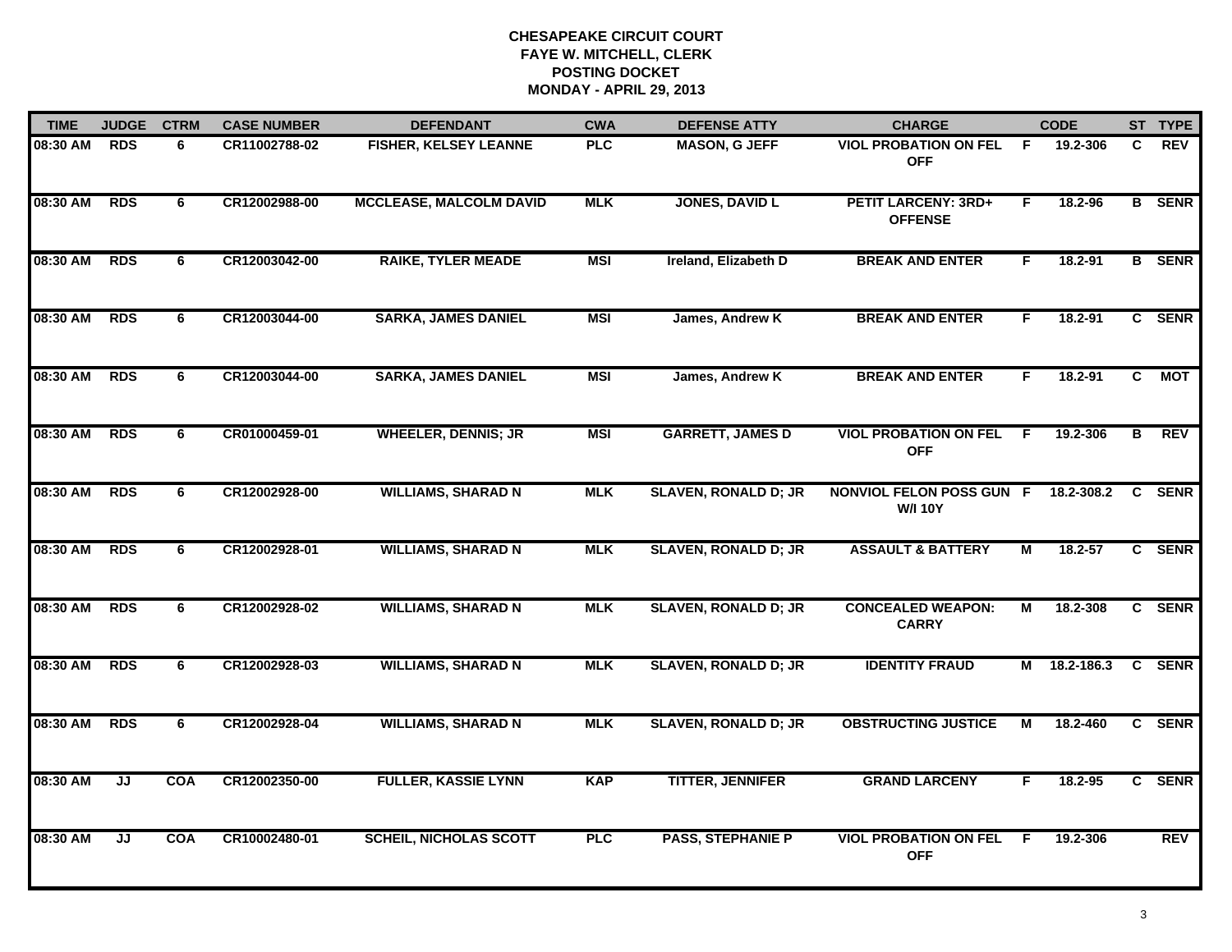| <b>TIME</b> | <b>JUDGE</b> | <b>CTRM</b> | <b>CASE NUMBER</b> | <b>DEFENDANT</b>               | <b>CWA</b> | <b>DEFENSE ATTY</b>         | <b>CHARGE</b>                                |    | <b>CODE</b> |    | ST TYPE       |
|-------------|--------------|-------------|--------------------|--------------------------------|------------|-----------------------------|----------------------------------------------|----|-------------|----|---------------|
| 08:30 AM    | <b>RDS</b>   | 6           | CR11002788-02      | <b>FISHER, KELSEY LEANNE</b>   | <b>PLC</b> | <b>MASON, G JEFF</b>        | <b>VIOL PROBATION ON FEL</b><br><b>OFF</b>   | -F | 19.2-306    | C  | <b>REV</b>    |
| 08:30 AM    | <b>RDS</b>   | 6           | CR12002988-00      | <b>MCCLEASE, MALCOLM DAVID</b> | <b>MLK</b> | <b>JONES, DAVID L</b>       | <b>PETIT LARCENY: 3RD+</b><br><b>OFFENSE</b> | F. | 18.2-96     |    | <b>B</b> SENR |
| 08:30 AM    | RDS          | 6           | CR12003042-00      | <b>RAIKE, TYLER MEADE</b>      | <b>MSI</b> | Ireland, Elizabeth D        | <b>BREAK AND ENTER</b>                       | F. | 18.2-91     |    | <b>B</b> SENR |
| 08:30 AM    | <b>RDS</b>   | 6           | CR12003044-00      | <b>SARKA, JAMES DANIEL</b>     | <b>MSI</b> | James, Andrew K             | <b>BREAK AND ENTER</b>                       | F. | $18.2 - 91$ |    | C SENR        |
| 08:30 AM    | <b>RDS</b>   | 6           | CR12003044-00      | <b>SARKA, JAMES DANIEL</b>     | <b>MSI</b> | James, Andrew K             | <b>BREAK AND ENTER</b>                       | F. | $18.2 - 91$ | C. | <b>MOT</b>    |
| 08:30 AM    | <b>RDS</b>   | 6           | CR01000459-01      | <b>WHEELER, DENNIS; JR</b>     | <b>MSI</b> | <b>GARRETT, JAMES D</b>     | <b>VIOL PROBATION ON FEL</b><br><b>OFF</b>   | F. | 19.2-306    | В  | <b>REV</b>    |
| 08:30 AM    | <b>RDS</b>   | 6           | CR12002928-00      | <b>WILLIAMS, SHARAD N</b>      | <b>MLK</b> | <b>SLAVEN, RONALD D; JR</b> | NONVIOL FELON POSS GUN F<br><b>W/I 10Y</b>   |    | 18.2-308.2  | C  | <b>SENR</b>   |
| 08:30 AM    | <b>RDS</b>   | 6           | CR12002928-01      | <b>WILLIAMS, SHARAD N</b>      | <b>MLK</b> | <b>SLAVEN, RONALD D; JR</b> | <b>ASSAULT &amp; BATTERY</b>                 | М  | $18.2 - 57$ |    | C SENR        |
| 08:30 AM    | <b>RDS</b>   | 6           | CR12002928-02      | <b>WILLIAMS, SHARAD N</b>      | <b>MLK</b> | <b>SLAVEN, RONALD D; JR</b> | <b>CONCEALED WEAPON:</b><br><b>CARRY</b>     | М  | 18.2-308    |    | C SENR        |
| 08:30 AM    | <b>RDS</b>   | 6           | CR12002928-03      | <b>WILLIAMS, SHARAD N</b>      | <b>MLK</b> | <b>SLAVEN, RONALD D; JR</b> | <b>IDENTITY FRAUD</b>                        | М  | 18.2-186.3  |    | C SENR        |
| 08:30 AM    | <b>RDS</b>   | 6           | CR12002928-04      | <b>WILLIAMS, SHARAD N</b>      | <b>MLK</b> | <b>SLAVEN, RONALD D; JR</b> | <b>OBSTRUCTING JUSTICE</b>                   | М  | 18.2-460    |    | C SENR        |
| 08:30 AM    | JJ           | <b>COA</b>  | CR12002350-00      | <b>FULLER, KASSIE LYNN</b>     | <b>KAP</b> | <b>TITTER, JENNIFER</b>     | <b>GRAND LARCENY</b>                         | F. | 18.2-95     |    | C SENR        |
| 08:30 AM    | JJ           | <b>COA</b>  | CR10002480-01      | <b>SCHEIL, NICHOLAS SCOTT</b>  | <b>PLC</b> | <b>PASS, STEPHANIE P</b>    | <b>VIOL PROBATION ON FEL</b><br><b>OFF</b>   | E  | 19.2-306    |    | <b>REV</b>    |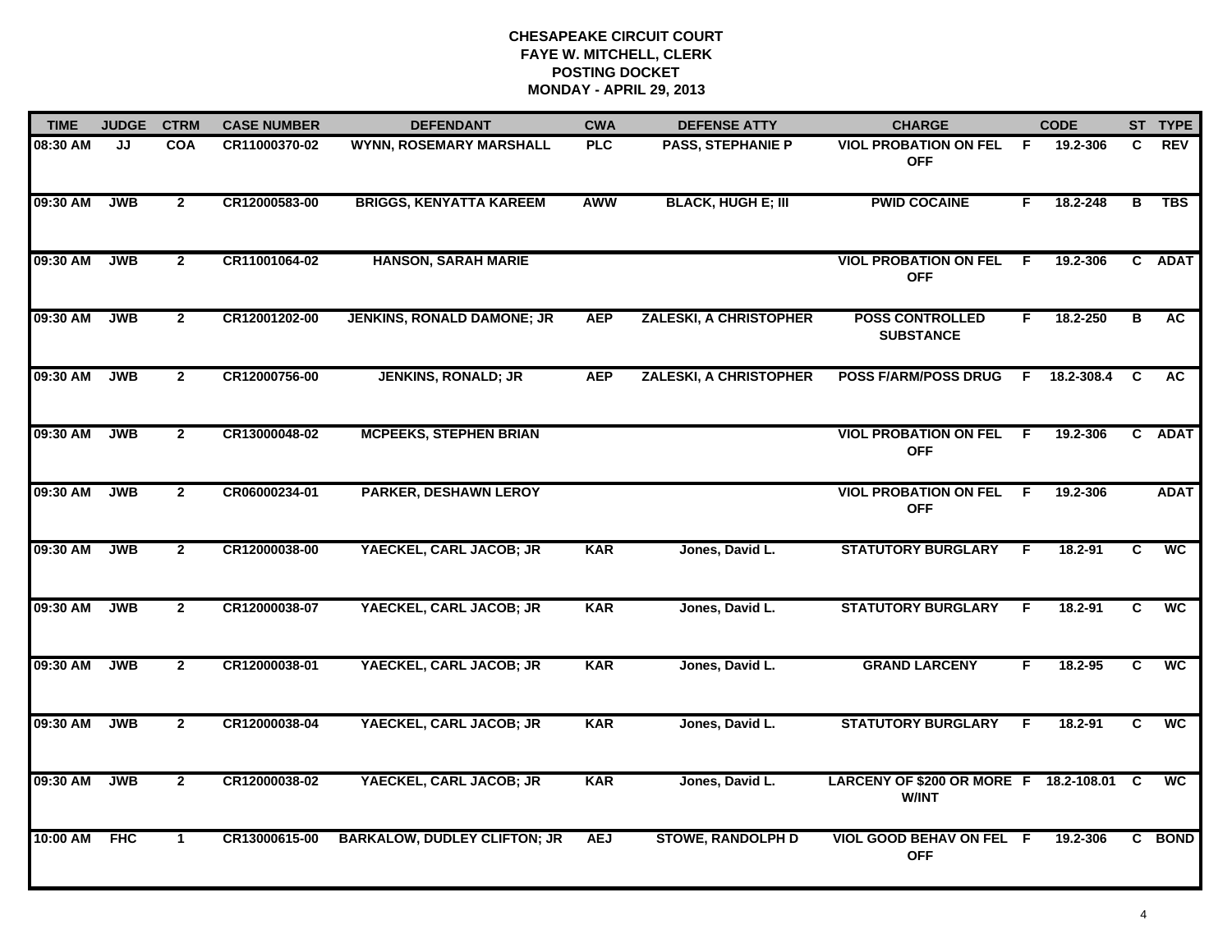| <b>TIME</b> | <b>JUDGE</b> | <b>CTRM</b>    | <b>CASE NUMBER</b> | <b>DEFENDANT</b>                    | <b>CWA</b> | <b>DEFENSE ATTY</b>           | <b>CHARGE</b>                                            |    | <b>CODE</b> |    | ST TYPE                  |
|-------------|--------------|----------------|--------------------|-------------------------------------|------------|-------------------------------|----------------------------------------------------------|----|-------------|----|--------------------------|
| 08:30 AM    | JJ           | <b>COA</b>     | CR11000370-02      | <b>WYNN, ROSEMARY MARSHALL</b>      | <b>PLC</b> | PASS, STEPHANIE P             | <b>VIOL PROBATION ON FEL</b><br><b>OFF</b>               | F. | 19.2-306    | C. | <b>REV</b>               |
| 09:30 AM    | <b>JWB</b>   | $\overline{2}$ | CR12000583-00      | <b>BRIGGS, KENYATTA KAREEM</b>      | <b>AWW</b> | <b>BLACK, HUGH E; III</b>     | <b>PWID COCAINE</b>                                      | F. | 18.2-248    | в  | <b>TBS</b>               |
| 09:30 AM    | <b>JWB</b>   | $\mathbf{2}$   | CR11001064-02      | <b>HANSON, SARAH MARIE</b>          |            |                               | <b>VIOL PROBATION ON FEL</b><br><b>OFF</b>               | F. | 19.2-306    |    | C ADAT                   |
| 09:30 AM    | <b>JWB</b>   | $\overline{2}$ | CR12001202-00      | <b>JENKINS, RONALD DAMONE; JR</b>   | <b>AEP</b> | <b>ZALESKI, A CHRISTOPHER</b> | <b>POSS CONTROLLED</b><br><b>SUBSTANCE</b>               | F. | 18.2-250    | В  | <b>AC</b>                |
| 09:30 AM    | <b>JWB</b>   | $\mathbf{2}$   | CR12000756-00      | <b>JENKINS, RONALD; JR</b>          | <b>AEP</b> | <b>ZALESKI, A CHRISTOPHER</b> | <b>POSS F/ARM/POSS DRUG</b>                              | F. | 18.2-308.4  | C  | AC.                      |
| 09:30 AM    | <b>JWB</b>   | $\mathbf{2}$   | CR13000048-02      | <b>MCPEEKS, STEPHEN BRIAN</b>       |            |                               | <b>VIOL PROBATION ON FEL F</b><br><b>OFF</b>             |    | 19.2-306    |    | C ADAT                   |
| 09:30 AM    | <b>JWB</b>   | $\overline{2}$ | CR06000234-01      | <b>PARKER, DESHAWN LEROY</b>        |            |                               | <b>VIOL PROBATION ON FEL</b><br><b>OFF</b>               | F. | 19.2-306    |    | <b>ADAT</b>              |
| 09:30 AM    | <b>JWB</b>   | $\overline{2}$ | CR12000038-00      | YAECKEL, CARL JACOB; JR             | <b>KAR</b> | Jones, David L.               | <b>STATUTORY BURGLARY</b>                                | E  | 18.2-91     | C  | <b>WC</b>                |
| 09:30 AM    | <b>JWB</b>   | $\mathbf{2}$   | CR12000038-07      | YAECKEL, CARL JACOB; JR             | <b>KAR</b> | Jones, David L.               | <b>STATUTORY BURGLARY</b>                                | F  | 18.2-91     | C  | <b>WC</b>                |
| 09:30 AM    | <b>JWB</b>   | $\overline{2}$ | CR12000038-01      | YAECKEL, CARL JACOB; JR             | <b>KAR</b> | Jones, David L.               | <b>GRAND LARCENY</b>                                     | F. | $18.2 - 95$ | C  | <b>WC</b>                |
| 09:30 AM    | <b>JWB</b>   | $\mathbf{2}$   | CR12000038-04      | YAECKEL, CARL JACOB; JR             | <b>KAR</b> | Jones, David L.               | <b>STATUTORY BURGLARY</b>                                | F. | 18.2-91     | C  | <b>WC</b>                |
| 09:30 AM    | <b>JWB</b>   | $\overline{2}$ | CR12000038-02      | YAECKEL, CARL JACOB; JR             | <b>KAR</b> | Jones, David L.               | LARCENY OF \$200 OR MORE F 18.2-108.01 C<br><b>W/INT</b> |    |             |    | $\overline{\mathsf{wc}}$ |
| 10:00 AM    | <b>FHC</b>   | $\mathbf 1$    | CR13000615-00      | <b>BARKALOW, DUDLEY CLIFTON; JR</b> | <b>AEJ</b> | <b>STOWE, RANDOLPH D</b>      | <b>VIOL GOOD BEHAV ON FEL F</b><br><b>OFF</b>            |    | 19.2-306    |    | C BOND                   |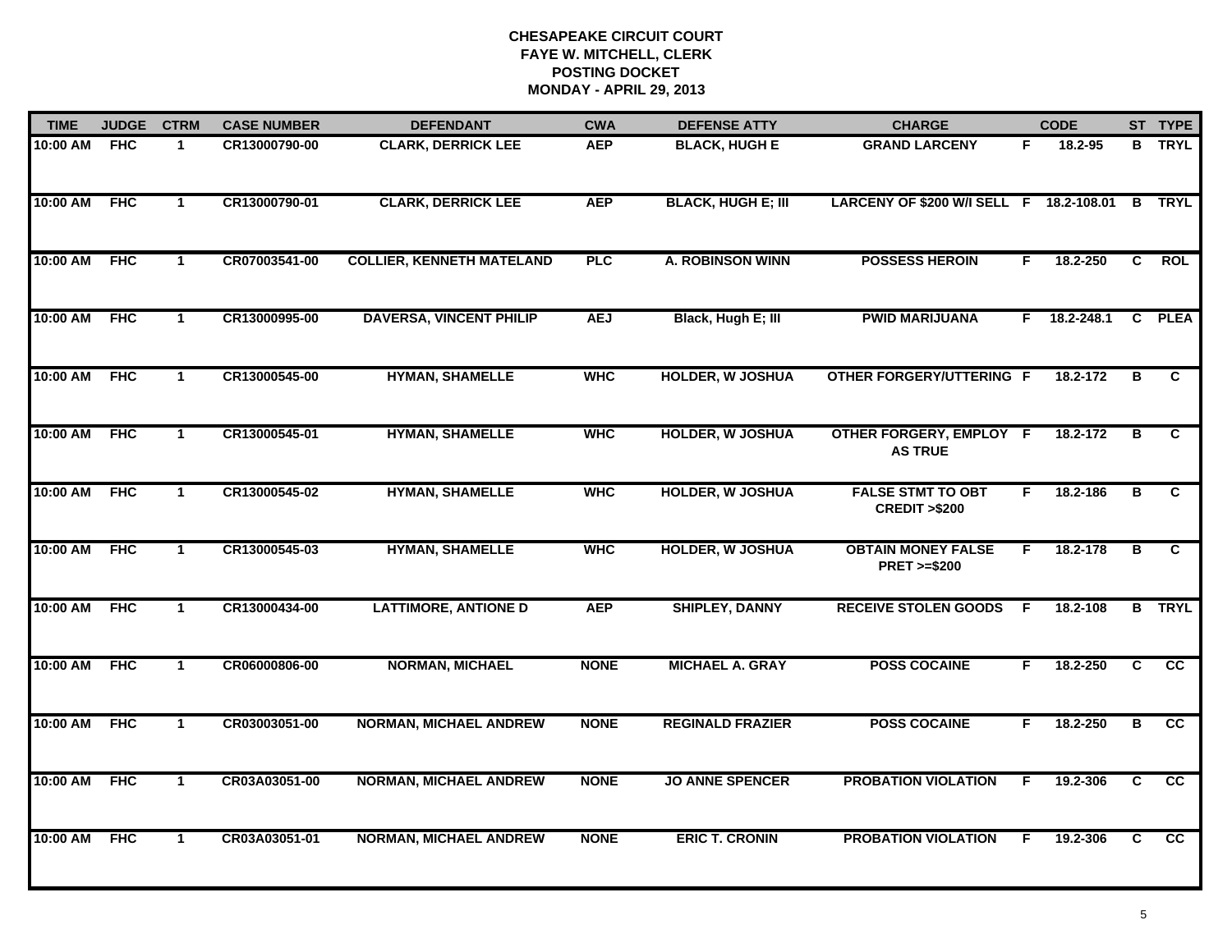| <b>TIME</b> | <b>JUDGE</b> | <b>CTRM</b>  | <b>CASE NUMBER</b> | <b>DEFENDANT</b>                 | <b>CWA</b>  | <b>DEFENSE ATTY</b>       | <b>CHARGE</b>                                       |    | <b>CODE</b>  |                | ST TYPE         |
|-------------|--------------|--------------|--------------------|----------------------------------|-------------|---------------------------|-----------------------------------------------------|----|--------------|----------------|-----------------|
| 10:00 AM    | <b>FHC</b>   | $\mathbf{1}$ | CR13000790-00      | <b>CLARK, DERRICK LEE</b>        | <b>AEP</b>  | <b>BLACK, HUGH E</b>      | <b>GRAND LARCENY</b>                                | F. | 18.2-95      |                | <b>B</b> TRYL   |
| 10:00 AM    | <b>FHC</b>   | $\mathbf{1}$ | CR13000790-01      | <b>CLARK, DERRICK LEE</b>        | <b>AEP</b>  | <b>BLACK, HUGH E; III</b> | LARCENY OF \$200 W/I SELL F 18.2-108.01 B TRYL      |    |              |                |                 |
| 10:00 AM    | <b>FHC</b>   | $\mathbf{1}$ | CR07003541-00      | <b>COLLIER, KENNETH MATELAND</b> | <b>PLC</b>  | <b>A. ROBINSON WINN</b>   | <b>POSSESS HEROIN</b>                               | F. | 18.2-250     | $\overline{c}$ | <b>ROL</b>      |
| 10:00 AM    | <b>FHC</b>   | $\mathbf 1$  | CR13000995-00      | <b>DAVERSA, VINCENT PHILIP</b>   | <b>AEJ</b>  | Black, Hugh E; III        | <b>PWID MARIJUANA</b>                               |    | F 18.2-248.1 |                | C PLEA          |
| 10:00 AM    | <b>FHC</b>   | $\mathbf{1}$ | CR13000545-00      | <b>HYMAN, SHAMELLE</b>           | <b>WHC</b>  | <b>HOLDER, W JOSHUA</b>   | <b>OTHER FORGERY/UTTERING F</b>                     |    | 18.2-172     | в              | C               |
| 10:00 AM    | <b>FHC</b>   | $\mathbf{1}$ | CR13000545-01      | <b>HYMAN, SHAMELLE</b>           | <b>WHC</b>  | <b>HOLDER, W JOSHUA</b>   | OTHER FORGERY, EMPLOY F<br><b>AS TRUE</b>           |    | 18.2-172     | в              | C               |
| 10:00 AM    | <b>FHC</b>   | $\mathbf{1}$ | CR13000545-02      | <b>HYMAN, SHAMELLE</b>           | <b>WHC</b>  | <b>HOLDER, W JOSHUA</b>   | <b>FALSE STMT TO OBT</b><br><b>CREDIT &gt;\$200</b> | F. | 18.2-186     | в              | C               |
| 10:00 AM    | <b>FHC</b>   | $\mathbf{1}$ | CR13000545-03      | <b>HYMAN, SHAMELLE</b>           | <b>WHC</b>  | <b>HOLDER, W JOSHUA</b>   | <b>OBTAIN MONEY FALSE</b><br><b>PRET &gt;=\$200</b> | F. | 18.2-178     | В              | C               |
| 10:00 AM    | <b>FHC</b>   | $\mathbf 1$  | CR13000434-00      | <b>LATTIMORE, ANTIONE D</b>      | <b>AEP</b>  | <b>SHIPLEY, DANNY</b>     | <b>RECEIVE STOLEN GOODS</b>                         | -F | 18.2-108     |                | <b>B</b> TRYL   |
| 10:00 AM    | <b>FHC</b>   | $\mathbf{1}$ | CR06000806-00      | <b>NORMAN, MICHAEL</b>           | <b>NONE</b> | <b>MICHAEL A. GRAY</b>    | <b>POSS COCAINE</b>                                 | F. | 18.2-250     | C              | <b>CC</b>       |
| 10:00 AM    | <b>FHC</b>   | $\mathbf{1}$ | CR03003051-00      | <b>NORMAN, MICHAEL ANDREW</b>    | <b>NONE</b> | <b>REGINALD FRAZIER</b>   | <b>POSS COCAINE</b>                                 | F. | 18.2-250     | в              | $\overline{cc}$ |
| 10:00 AM    | <b>FHC</b>   | $\mathbf{1}$ | CR03A03051-00      | <b>NORMAN, MICHAEL ANDREW</b>    | <b>NONE</b> | <b>JO ANNE SPENCER</b>    | <b>PROBATION VIOLATION</b>                          | F. | 19.2-306     | $\overline{c}$ | $\overline{cc}$ |
| 10:00 AM    | <b>FHC</b>   | $\mathbf{1}$ | CR03A03051-01      | <b>NORMAN, MICHAEL ANDREW</b>    | <b>NONE</b> | <b>ERIC T. CRONIN</b>     | <b>PROBATION VIOLATION</b>                          | F  | 19.2-306     | C.             | $\overline{cc}$ |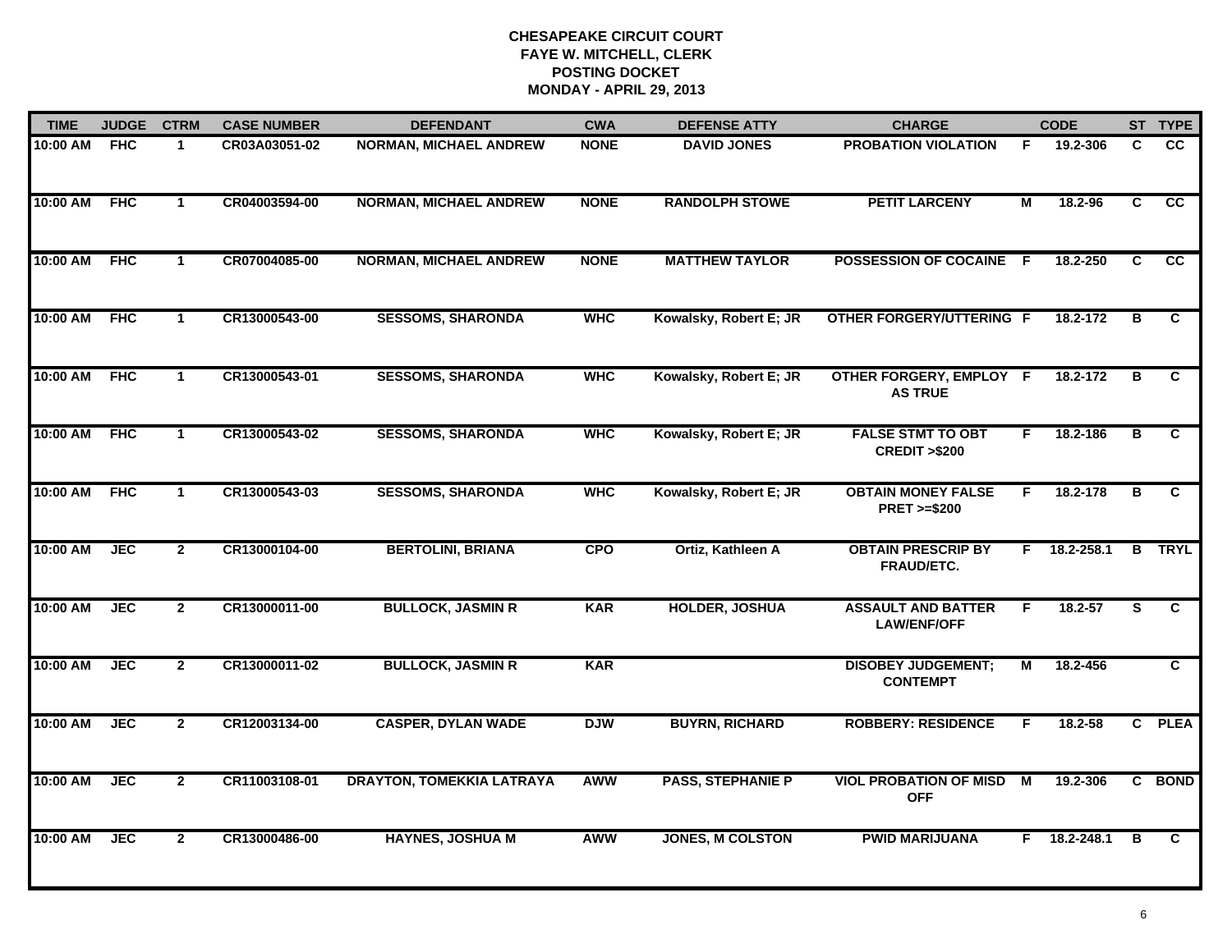| <b>TIME</b> | <b>JUDGE</b> | <b>CTRM</b>          | <b>CASE NUMBER</b> | <b>DEFENDANT</b>                 | <b>CWA</b>  | <b>DEFENSE ATTY</b>      | <b>CHARGE</b>                                       |    | <b>CODE</b>  |    | ST TYPE         |
|-------------|--------------|----------------------|--------------------|----------------------------------|-------------|--------------------------|-----------------------------------------------------|----|--------------|----|-----------------|
| 10:00 AM    | <b>FHC</b>   | $\blacktriangleleft$ | CR03A03051-02      | <b>NORMAN, MICHAEL ANDREW</b>    | <b>NONE</b> | <b>DAVID JONES</b>       | <b>PROBATION VIOLATION</b>                          | F. | 19.2-306     | C  | $\overline{cc}$ |
| 10:00 AM    | <b>FHC</b>   | $\mathbf{1}$         | CR04003594-00      | <b>NORMAN, MICHAEL ANDREW</b>    | <b>NONE</b> | <b>RANDOLPH STOWE</b>    | <b>PETIT LARCENY</b>                                | М  | 18.2-96      | C. | CC              |
| 10:00 AM    | <b>FHC</b>   | $\mathbf{1}$         | CR07004085-00      | <b>NORMAN, MICHAEL ANDREW</b>    | <b>NONE</b> | <b>MATTHEW TAYLOR</b>    | <b>POSSESSION OF COCAINE</b>                        | -F | 18.2-250     | C  | <b>CC</b>       |
| 10:00 AM    | <b>FHC</b>   | $\mathbf 1$          | CR13000543-00      | <b>SESSOMS, SHARONDA</b>         | <b>WHC</b>  | Kowalsky, Robert E; JR   | <b>OTHER FORGERY/UTTERING F</b>                     |    | 18.2-172     | в  | C.              |
| 10:00 AM    | <b>FHC</b>   | $\mathbf{1}$         | CR13000543-01      | <b>SESSOMS, SHARONDA</b>         | <b>WHC</b>  | Kowalsky, Robert E; JR   | OTHER FORGERY, EMPLOY F<br><b>AS TRUE</b>           |    | 18.2-172     | В  | C.              |
| 10:00 AM    | FHC          | $\mathbf{1}$         | CR13000543-02      | <b>SESSOMS, SHARONDA</b>         | <b>WHC</b>  | Kowalsky, Robert E; JR   | <b>FALSE STMT TO OBT</b><br><b>CREDIT &gt;\$200</b> | F. | 18.2-186     | в  | C.              |
| 10:00 AM    | <b>FHC</b>   | $\mathbf{1}$         | CR13000543-03      | <b>SESSOMS, SHARONDA</b>         | <b>WHC</b>  | Kowalsky, Robert E; JR   | <b>OBTAIN MONEY FALSE</b><br><b>PRET &gt;=\$200</b> | F  | 18.2-178     | В  | C               |
| 10:00 AM    | <b>JEC</b>   | $\overline{2}$       | CR13000104-00      | <b>BERTOLINI, BRIANA</b>         | <b>CPO</b>  | Ortiz, Kathleen A        | <b>OBTAIN PRESCRIP BY</b><br>FRAUD/ETC.             | F. | 18.2-258.1   |    | <b>B</b> TRYL   |
| 10:00 AM    | <b>JEC</b>   | $\mathbf{2}$         | CR13000011-00      | <b>BULLOCK, JASMIN R</b>         | <b>KAR</b>  | <b>HOLDER, JOSHUA</b>    | <b>ASSAULT AND BATTER</b><br><b>LAW/ENF/OFF</b>     | F  | $18.2 - 57$  | S  | C               |
| 10:00 AM    | <b>JEC</b>   | $\mathbf{2}$         | CR13000011-02      | <b>BULLOCK, JASMIN R</b>         | <b>KAR</b>  |                          | <b>DISOBEY JUDGEMENT;</b><br><b>CONTEMPT</b>        | M  | 18.2-456     |    | C               |
| 10:00 AM    | <b>JEC</b>   | $\mathbf{2}$         | CR12003134-00      | <b>CASPER, DYLAN WADE</b>        | <b>DJW</b>  | <b>BUYRN, RICHARD</b>    | <b>ROBBERY: RESIDENCE</b>                           | F  | 18.2-58      |    | C PLEA          |
| 10:00 AM    | <b>JEC</b>   | $\overline{2}$       | CR11003108-01      | <b>DRAYTON, TOMEKKIA LATRAYA</b> | <b>AWW</b>  | <b>PASS, STEPHANIE P</b> | <b>VIOL PROBATION OF MISD M</b><br><b>OFF</b>       |    | 19.2-306     |    | C BOND          |
| 10:00 AM    | <b>JEC</b>   | $\overline{2}$       | CR13000486-00      | <b>HAYNES, JOSHUA M</b>          | <b>AWW</b>  | <b>JONES, M COLSTON</b>  | <b>PWID MARIJUANA</b>                               |    | F 18.2-248.1 | в  | C.              |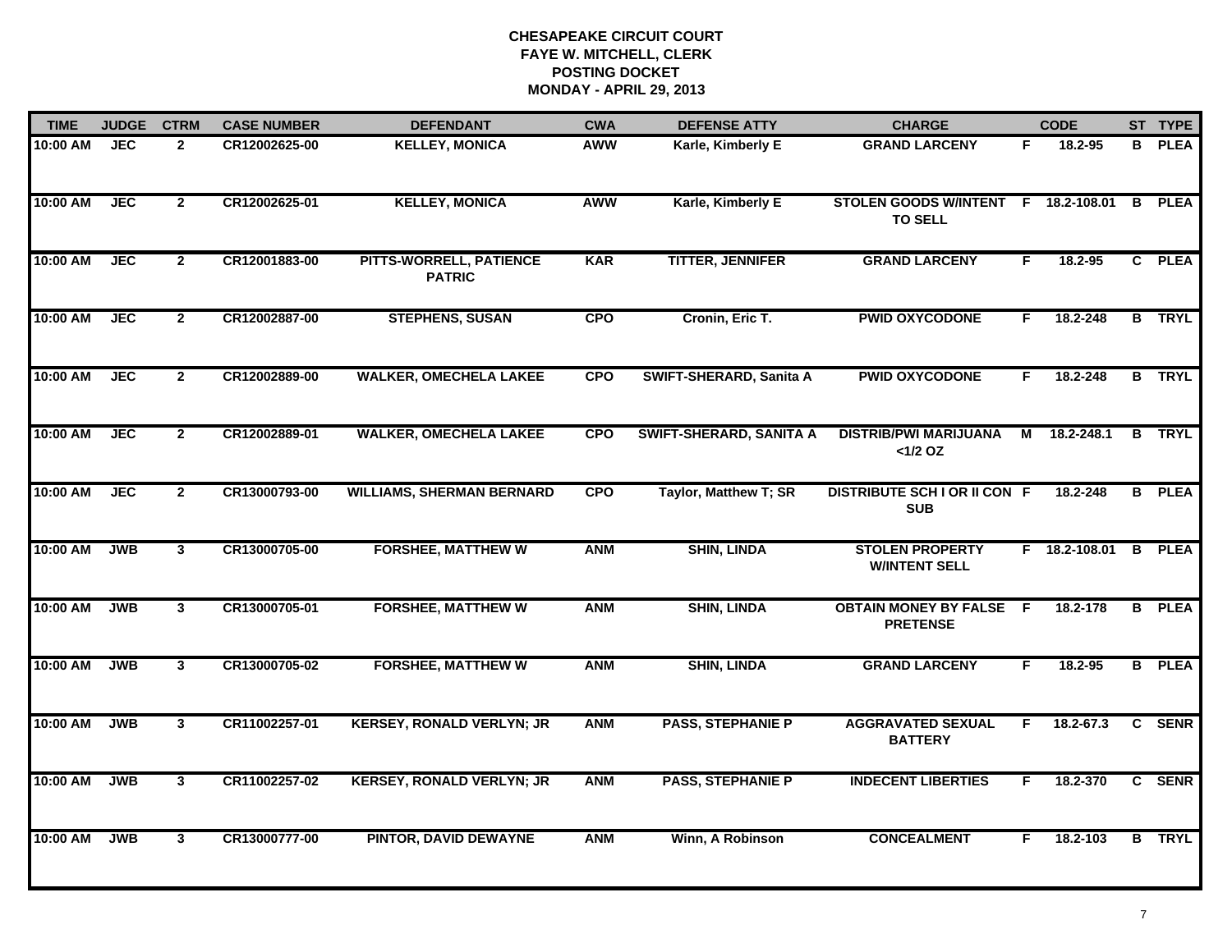| <b>TIME</b> | <b>JUDGE</b>     | <b>CTRM</b>    | <b>CASE NUMBER</b> | <b>DEFENDANT</b>                         | <b>CWA</b> | <b>DEFENSE ATTY</b>            | <b>CHARGE</b>                                         |    | <b>CODE</b>     |                | ST TYPE       |
|-------------|------------------|----------------|--------------------|------------------------------------------|------------|--------------------------------|-------------------------------------------------------|----|-----------------|----------------|---------------|
| 10:00 AM    | <b>JEC</b>       | $\mathbf{2}$   | CR12002625-00      | <b>KELLEY, MONICA</b>                    | <b>AWW</b> | Karle, Kimberly E              | <b>GRAND LARCENY</b>                                  | F. | 18.2-95         | B              | <b>PLEA</b>   |
| 10:00 AM    | <b>JEC</b>       | $\mathbf{2}$   | CR12002625-01      | <b>KELLEY, MONICA</b>                    | <b>AWW</b> | Karle, Kimberly E              | STOLEN GOODS W/INTENT F 18.2-108.01<br><b>TO SELL</b> |    |                 | B              | <b>PLEA</b>   |
| 10:00 AM    | <b>JEC</b>       | $\overline{2}$ | CR12001883-00      | PITTS-WORRELL, PATIENCE<br><b>PATRIC</b> | <b>KAR</b> | <b>TITTER, JENNIFER</b>        | <b>GRAND LARCENY</b>                                  | F  | 18.2-95         |                | C PLEA        |
| 10:00 AM    | $\overline{JEC}$ | $\overline{2}$ | CR12002887-00      | <b>STEPHENS, SUSAN</b>                   | <b>CPO</b> | Cronin, Eric T.                | <b>PWID OXYCODONE</b>                                 | F. | 18.2-248        |                | <b>B</b> TRYL |
| 10:00 AM    | <b>JEC</b>       | $\overline{2}$ | CR12002889-00      | <b>WALKER, OMECHELA LAKEE</b>            | <b>CPO</b> | SWIFT-SHERARD, Sanita A        | <b>PWID OXYCODONE</b>                                 | F. | 18.2-248        |                | <b>B</b> TRYL |
| 10:00 AM    | <b>JEC</b>       | $\overline{2}$ | CR12002889-01      | <b>WALKER, OMECHELA LAKEE</b>            | <b>CPO</b> | <b>SWIFT-SHERARD, SANITA A</b> | <b>DISTRIB/PWI MARIJUANA</b><br>$<1/2$ OZ             |    | M 18.2-248.1    |                | <b>B</b> TRYL |
| 10:00 AM    | <b>JEC</b>       | $\overline{2}$ | CR13000793-00      | <b>WILLIAMS, SHERMAN BERNARD</b>         | <b>CPO</b> | Taylor, Matthew T; SR          | <b>DISTRIBUTE SCH I OR II CON F</b><br><b>SUB</b>     |    | 18.2-248        | $\overline{B}$ | <b>PLEA</b>   |
| 10:00 AM    | <b>JWB</b>       | $\mathbf{3}$   | CR13000705-00      | <b>FORSHEE, MATTHEW W</b>                | <b>ANM</b> | <b>SHIN, LINDA</b>             | <b>STOLEN PROPERTY</b><br><b>W/INTENT SELL</b>        |    | $F$ 18.2-108.01 | B              | <b>PLEA</b>   |
| 10:00 AM    | <b>JWB</b>       | $\mathbf{3}$   | CR13000705-01      | <b>FORSHEE, MATTHEW W</b>                | <b>ANM</b> | <b>SHIN, LINDA</b>             | <b>OBTAIN MONEY BY FALSE F</b><br><b>PRETENSE</b>     |    | 18.2-178        | B              | <b>PLEA</b>   |
| 10:00 AM    | <b>JWB</b>       | $\mathbf{3}$   | CR13000705-02      | <b>FORSHEE, MATTHEW W</b>                | <b>ANM</b> | <b>SHIN, LINDA</b>             | <b>GRAND LARCENY</b>                                  | F  | 18.2-95         |                | <b>B</b> PLEA |
| 10:00 AM    | <b>JWB</b>       | $\mathbf{3}$   | CR11002257-01      | <b>KERSEY, RONALD VERLYN; JR</b>         | <b>ANM</b> | <b>PASS, STEPHANIE P</b>       | <b>AGGRAVATED SEXUAL</b><br><b>BATTERY</b>            | F. | 18.2-67.3       |                | C SENR        |
| 10:00 AM    | <b>JWB</b>       | $\overline{3}$ | CR11002257-02      | <b>KERSEY, RONALD VERLYN; JR</b>         | <b>ANM</b> | <b>PASS, STEPHANIE P</b>       | <b>INDECENT LIBERTIES</b>                             | F. | 18.2-370        |                | C SENR        |
| 10:00 AM    | <b>JWB</b>       | $\mathbf{3}$   | CR13000777-00      | <b>PINTOR, DAVID DEWAYNE</b>             | <b>ANM</b> | Winn, A Robinson               | <b>CONCEALMENT</b>                                    | F  | 18.2-103        |                | <b>B</b> TRYL |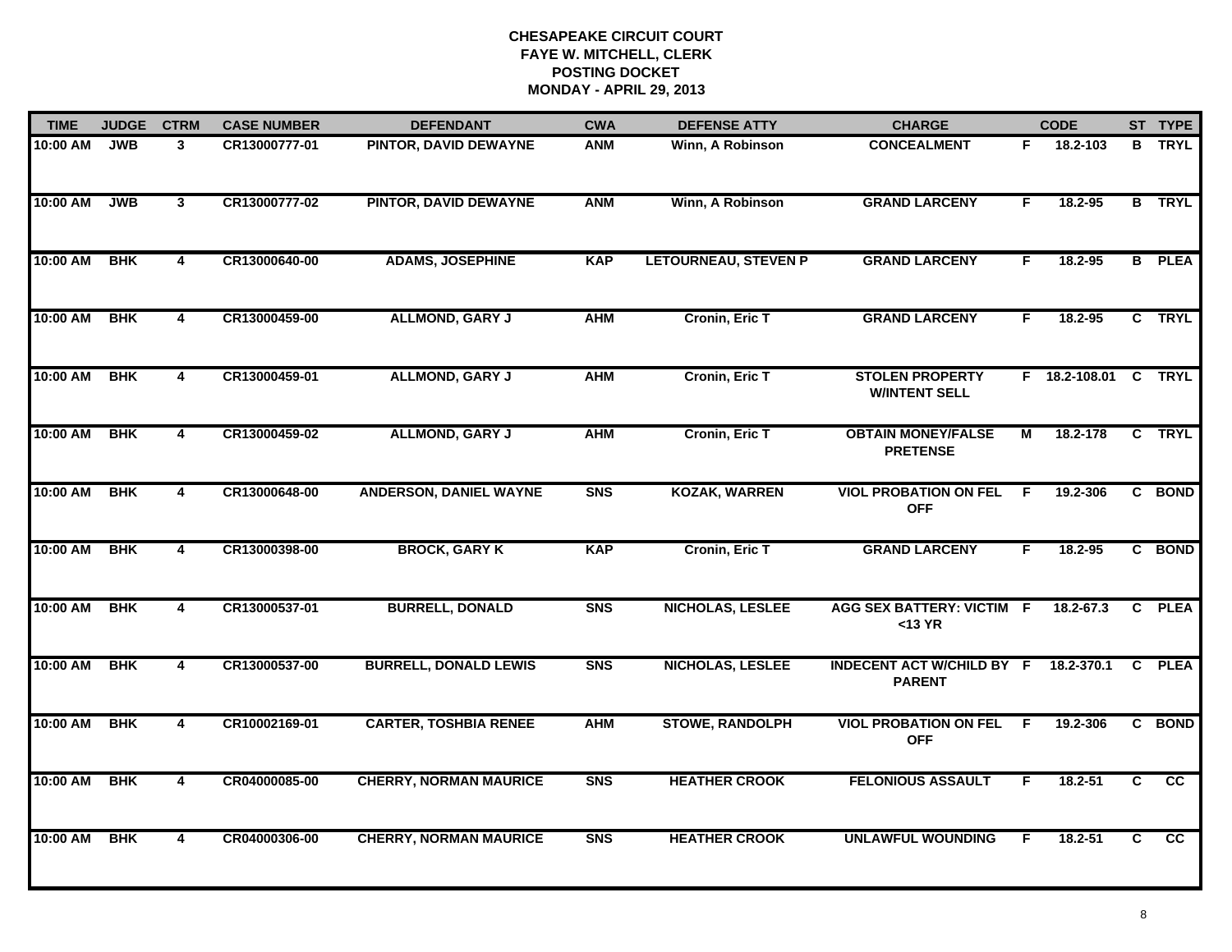| <b>TIME</b> | <b>JUDGE</b> | <b>CTRM</b>             | <b>CASE NUMBER</b> | <b>DEFENDANT</b>              | <b>CWA</b> | <b>DEFENSE ATTY</b>         | <b>CHARGE</b>                                     |           | <b>CODE</b>             |   | ST TYPE         |
|-------------|--------------|-------------------------|--------------------|-------------------------------|------------|-----------------------------|---------------------------------------------------|-----------|-------------------------|---|-----------------|
| 10:00 AM    | <b>JWB</b>   | 3                       | CR13000777-01      | PINTOR, DAVID DEWAYNE         | <b>ANM</b> | Winn, A Robinson            | <b>CONCEALMENT</b>                                | F.        | $\overline{18.2} - 103$ |   | <b>B</b> TRYL   |
| 10:00 AM    | <b>JWB</b>   | 3                       | CR13000777-02      | PINTOR, DAVID DEWAYNE         | <b>ANM</b> | Winn, A Robinson            | <b>GRAND LARCENY</b>                              | F         | 18.2-95                 |   | <b>B</b> TRYL   |
| 10:00 AM    | <b>BHK</b>   | $\overline{\mathbf{4}}$ | CR13000640-00      | <b>ADAMS, JOSEPHINE</b>       | <b>KAP</b> | <b>LETOURNEAU, STEVEN P</b> | <b>GRAND LARCENY</b>                              | F         | 18.2-95                 |   | <b>B</b> PLEA   |
| 10:00 AM    | <b>BHK</b>   | 4                       | CR13000459-00      | <b>ALLMOND, GARY J</b>        | <b>AHM</b> | <b>Cronin, Eric T</b>       | <b>GRAND LARCENY</b>                              | F.        | $18.2 - 95$             |   | C TRYL          |
| 10:00 AM    | <b>BHK</b>   | 4                       | CR13000459-01      | <b>ALLMOND, GARY J</b>        | <b>AHM</b> | <b>Cronin, Eric T</b>       | <b>STOLEN PROPERTY</b><br><b>W/INTENT SELL</b>    |           | F 18.2-108.01 C TRYL    |   |                 |
| 10:00 AM    | <b>BHK</b>   | 4                       | CR13000459-02      | <b>ALLMOND, GARY J</b>        | <b>AHM</b> | <b>Cronin, Eric T</b>       | <b>OBTAIN MONEY/FALSE</b><br><b>PRETENSE</b>      | М         | 18.2-178                |   | C TRYL          |
| 10:00 AM    | <b>BHK</b>   | 4                       | CR13000648-00      | <b>ANDERSON, DANIEL WAYNE</b> | <b>SNS</b> | <b>KOZAK, WARREN</b>        | <b>VIOL PROBATION ON FEL</b><br><b>OFF</b>        | F.        | 19.2-306                |   | C BOND          |
| 10:00 AM    | <b>BHK</b>   | 4                       | CR13000398-00      | <b>BROCK, GARY K</b>          | <b>KAP</b> | <b>Cronin, Eric T</b>       | <b>GRAND LARCENY</b>                              | F         | 18.2-95                 |   | C BOND          |
| 10:00 AM    | <b>BHK</b>   | 4                       | CR13000537-01      | <b>BURRELL, DONALD</b>        | <b>SNS</b> | NICHOLAS, LESLEE            | <b>AGG SEX BATTERY: VICTIM F</b><br>$<$ 13 YR     |           | 18.2-67.3               |   | C PLEA          |
| 10:00 AM    | <b>BHK</b>   | 4                       | CR13000537-00      | <b>BURRELL, DONALD LEWIS</b>  | <b>SNS</b> | <b>NICHOLAS, LESLEE</b>     | <b>INDECENT ACT W/CHILD BY F</b><br><b>PARENT</b> |           | 18.2-370.1              |   | C PLEA          |
| 10:00 AM    | <b>BHK</b>   | 4                       | CR10002169-01      | <b>CARTER, TOSHBIA RENEE</b>  | <b>AHM</b> | <b>STOWE, RANDOLPH</b>      | <b>VIOL PROBATION ON FEL</b><br><b>OFF</b>        | $\hat{F}$ | 19.2-306                |   | C BOND          |
| 10:00 AM    | <b>BHK</b>   | 4                       | CR04000085-00      | <b>CHERRY, NORMAN MAURICE</b> | <b>SNS</b> | <b>HEATHER CROOK</b>        | <b>FELONIOUS ASSAULT</b>                          | F.        | 18.2-51                 | C | cc              |
| 10:00 AM    | <b>BHK</b>   | 4                       | CR04000306-00      | <b>CHERRY, NORMAN MAURICE</b> | <b>SNS</b> | <b>HEATHER CROOK</b>        | <b>UNLAWFUL WOUNDING</b>                          | F         | 18.2-51                 | C | $\overline{cc}$ |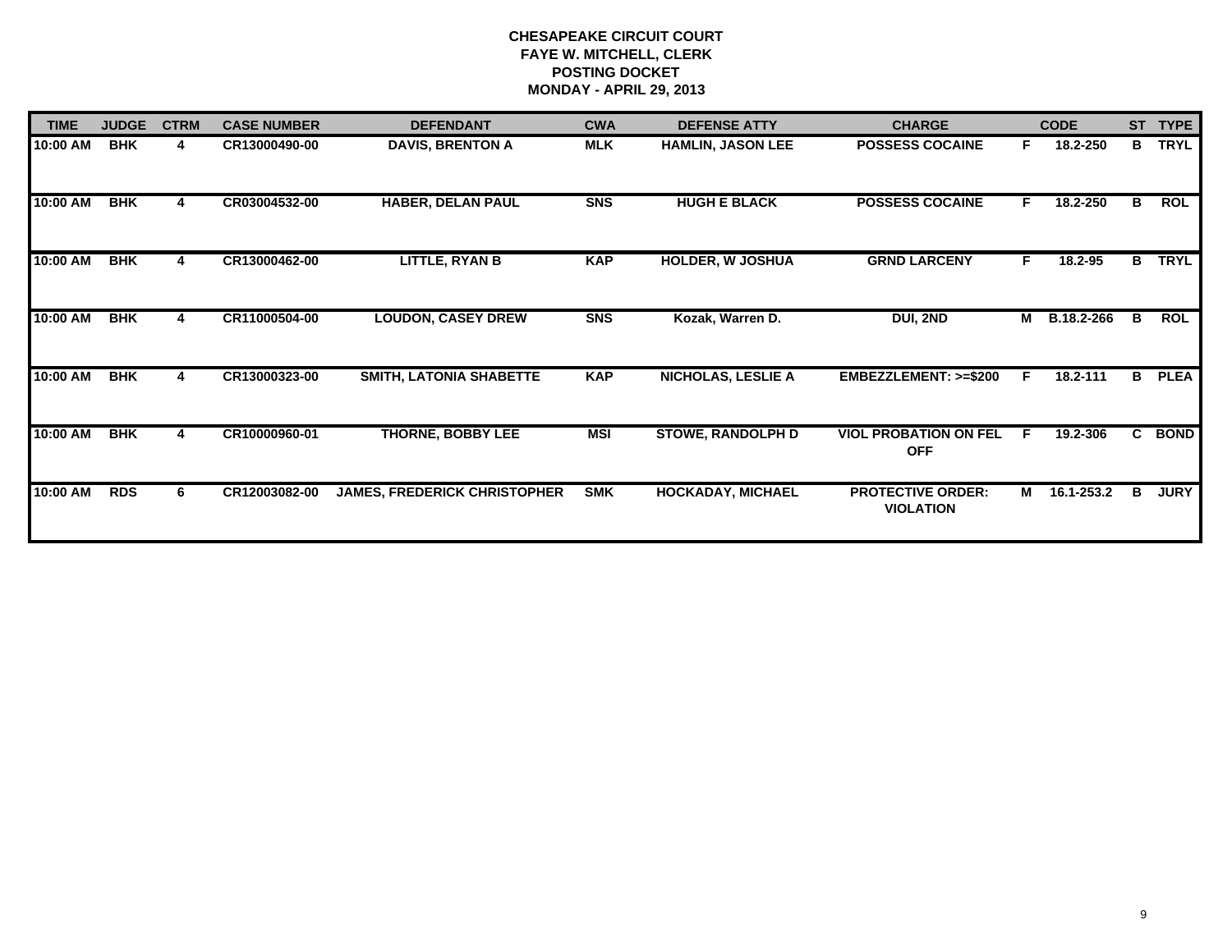| <b>TIME</b> | <b>JUDGE</b> | <b>CTRM</b> | <b>CASE NUMBER</b> | <b>DEFENDANT</b>                    | <b>CWA</b> | <b>DEFENSE ATTY</b>       | <b>CHARGE</b>                                |    | <b>CODE</b>  | <b>ST</b> | <b>TYPE</b> |
|-------------|--------------|-------------|--------------------|-------------------------------------|------------|---------------------------|----------------------------------------------|----|--------------|-----------|-------------|
| 10:00 AM    | <b>BHK</b>   | 4           | CR13000490-00      | <b>DAVIS, BRENTON A</b>             | <b>MLK</b> | <b>HAMLIN, JASON LEE</b>  | <b>POSSESS COCAINE</b>                       | F  | 18.2-250     | B         | <b>TRYL</b> |
| 10:00 AM    | <b>BHK</b>   | 4           | CR03004532-00      | <b>HABER, DELAN PAUL</b>            | <b>SNS</b> | <b>HUGH E BLACK</b>       | <b>POSSESS COCAINE</b>                       | F. | 18.2-250     | B         | ROL         |
| 10:00 AM    | <b>BHK</b>   | 4           | CR13000462-00      | <b>LITTLE, RYAN B</b>               | <b>KAP</b> | <b>HOLDER, W JOSHUA</b>   | <b>GRND LARCENY</b>                          | F. | 18.2-95      | B         | <b>TRYL</b> |
| 10:00 AM    | <b>BHK</b>   | 4           | CR11000504-00      | <b>LOUDON, CASEY DREW</b>           | <b>SNS</b> | Kozak, Warren D.          | DUI, 2ND                                     | М  | B.18.2-266   | в         | <b>ROL</b>  |
| 10:00 AM    | <b>BHK</b>   | 4           | CR13000323-00      | <b>SMITH, LATONIA SHABETTE</b>      | <b>KAP</b> | <b>NICHOLAS, LESLIE A</b> | EMBEZZLEMENT: >=\$200                        | F. | 18.2-111     | в         | <b>PLEA</b> |
| 10:00 AM    | <b>BHK</b>   | 4           | CR10000960-01      | <b>THORNE, BOBBY LEE</b>            | MSI        | <b>STOWE, RANDOLPH D</b>  | <b>VIOL PROBATION ON FEL</b><br><b>OFF</b>   | F  | 19.2-306     | C.        | <b>BOND</b> |
| 10:00 AM    | <b>RDS</b>   | 6.          | CR12003082-00      | <b>JAMES, FREDERICK CHRISTOPHER</b> | <b>SMK</b> | <b>HOCKADAY, MICHAEL</b>  | <b>PROTECTIVE ORDER:</b><br><b>VIOLATION</b> |    | M 16.1-253.2 | в         | <b>JURY</b> |